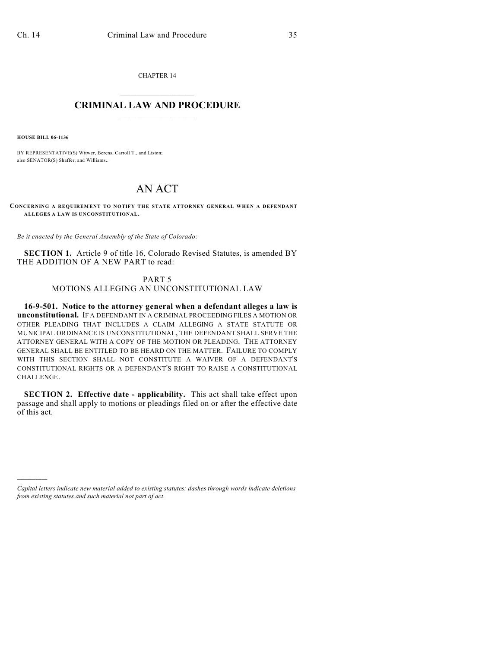CHAPTER 14  $\overline{\phantom{a}}$  . The set of the set of the set of the set of the set of the set of the set of the set of the set of the set of the set of the set of the set of the set of the set of the set of the set of the set of the set o

## **CRIMINAL LAW AND PROCEDURE**  $\_$

**HOUSE BILL 06-1136**

)))))

BY REPRESENTATIVE(S) Witwer, Berens, Carroll T., and Liston; also SENATOR(S) Shaffer, and Williams.

## AN ACT

**CONCERNING A REQUIREMENT TO NOTIFY THE STATE ATTORNEY GENERAL WHEN A DEFENDANT ALLEGES A LAW IS UNCONSTITUTIONAL.**

*Be it enacted by the General Assembly of the State of Colorado:*

**SECTION 1.** Article 9 of title 16, Colorado Revised Statutes, is amended BY THE ADDITION OF A NEW PART to read:

PART 5

MOTIONS ALLEGING AN UNCONSTITUTIONAL LAW

**16-9-501. Notice to the attorney general when a defendant alleges a law is unconstitutional.** IF A DEFENDANT IN A CRIMINAL PROCEEDING FILES A MOTION OR OTHER PLEADING THAT INCLUDES A CLAIM ALLEGING A STATE STATUTE OR MUNICIPAL ORDINANCE IS UNCONSTITUTIONAL, THE DEFENDANT SHALL SERVE THE ATTORNEY GENERAL WITH A COPY OF THE MOTION OR PLEADING. THE ATTORNEY GENERAL SHALL BE ENTITLED TO BE HEARD ON THE MATTER. FAILURE TO COMPLY WITH THIS SECTION SHALL NOT CONSTITUTE A WAIVER OF A DEFENDANT'S CONSTITUTIONAL RIGHTS OR A DEFENDANT'S RIGHT TO RAISE A CONSTITUTIONAL CHALLENGE.

**SECTION 2. Effective date - applicability.** This act shall take effect upon passage and shall apply to motions or pleadings filed on or after the effective date of this act.

*Capital letters indicate new material added to existing statutes; dashes through words indicate deletions from existing statutes and such material not part of act.*